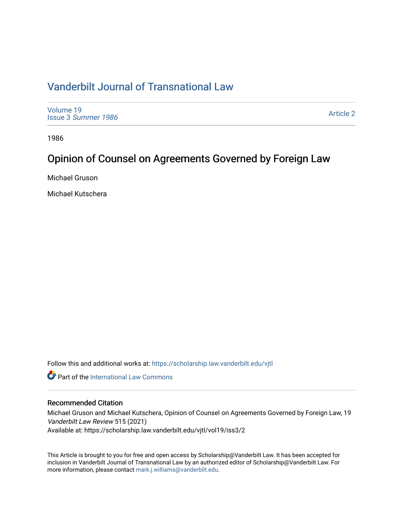# [Vanderbilt Journal of Transnational Law](https://scholarship.law.vanderbilt.edu/vjtl)

[Volume 19](https://scholarship.law.vanderbilt.edu/vjtl/vol19) Issue 3 [Summer 1986](https://scholarship.law.vanderbilt.edu/vjtl/vol19/iss3) 

[Article 2](https://scholarship.law.vanderbilt.edu/vjtl/vol19/iss3/2) 

1986

# Opinion of Counsel on Agreements Governed by Foreign Law

Michael Gruson

Michael Kutschera

Follow this and additional works at: [https://scholarship.law.vanderbilt.edu/vjtl](https://scholarship.law.vanderbilt.edu/vjtl?utm_source=scholarship.law.vanderbilt.edu%2Fvjtl%2Fvol19%2Fiss3%2F2&utm_medium=PDF&utm_campaign=PDFCoverPages) 

**Part of the International Law Commons** 

## Recommended Citation

Michael Gruson and Michael Kutschera, Opinion of Counsel on Agreements Governed by Foreign Law, 19 Vanderbilt Law Review 515 (2021)

Available at: https://scholarship.law.vanderbilt.edu/vjtl/vol19/iss3/2

This Article is brought to you for free and open access by Scholarship@Vanderbilt Law. It has been accepted for inclusion in Vanderbilt Journal of Transnational Law by an authorized editor of Scholarship@Vanderbilt Law. For more information, please contact [mark.j.williams@vanderbilt.edu](mailto:mark.j.williams@vanderbilt.edu).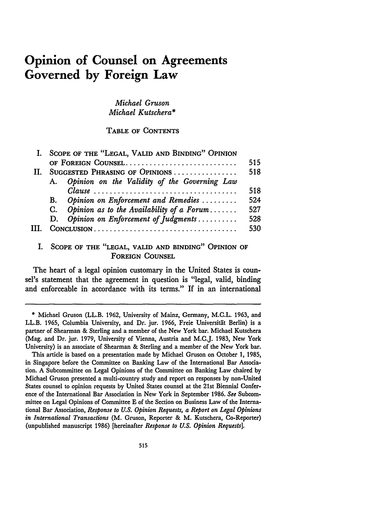# **Opinion of Counsel on Agreements Governed by Foreign Law**

*Michael Gruson Michael Kutschera\**

TABLE OF CONTENTS

|     | I. SCOPE OF THE "LEGAL, VALID AND BINDING" OPINION |                                                 |     |
|-----|----------------------------------------------------|-------------------------------------------------|-----|
|     | OF FOREIGN COUNSEL                                 |                                                 | 515 |
|     | SUGGESTED PHRASING OF OPINIONS                     |                                                 | 518 |
|     |                                                    | A. Opinion on the Validity of the Governing Law |     |
|     |                                                    |                                                 | 518 |
|     |                                                    | B. Opinion on Enforcement and Remedies          | 524 |
|     |                                                    | C. Opinion as to the Availability of a Forum    | 527 |
|     |                                                    | D. Opinion on Enforcement of Judgments          | 528 |
| HL. |                                                    |                                                 | 530 |
|     |                                                    |                                                 |     |

## I. **SCOPE** OF THE **"LEGAL,** VALID **AND** BINDING" OPINION OF FOREIGN COUNSEL

The heart of a legal opinion customary in the United States is counsel's statement that the agreement in question is "legal, valid, binding and enforceable in accordance with its terms." If in an international

<sup>\*</sup> Michael Gruson (LL.B. **1962,** University of Mainz, Germany, M.C.L. **1963,** and LL.B. **1965,** Columbia University, and Dr. jur. **1966,** Freie Universitit Berlin) is a partner of Shearman **&** Sterling and a member of the New York bar. Michael Kutschera (Mag. and Dr. jur. **1979,** University of Vienna, Austria and **M.C.J. 1983,** New York University) is an associate of Shearman **&** Sterling and a member of the New York bar.

This article is based on a presentation made **by** Michael Gruson on October **1, 1985,** in Singapore before the Committee on Banking Law of the International Bar Association. **A** Subcommittee on Legal Opinions of the Committee on Banking Law chaired **by** Michael Gruson presented a multi-country study and report on responses by non-United States counsel to opinion requests **by** United States counsel at the 21st Biennial Conference of the International Bar Association in New York in September 1986. *See* Subcommittee on Legal Opinions of Committee **E** of the Section on Business Law of the International Bar Association, *Response to U.S. Opinion Requests, a Report on Legal Opinions in International Transactions* (M. Gruson, Reporter & M. Kutschera, Co-Reporter) (unpublished manuscript 1986) [hereinafter *Response to U.S. Opinion Requests].*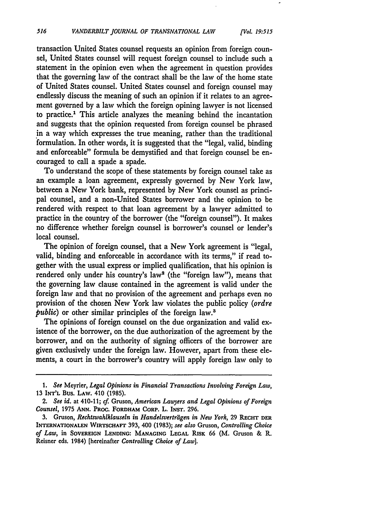transaction United States counsel requests an opinion from foreign counsel, United States counsel will request foreign counsel to include such a statement in the opinion even when the agreement in question provides that the governing law of the contract shall be the law of the home state of United States counsel. United States counsel and foreign counsel may endlessly discuss the meaning of such an opinion if it relates to an agreement governed **by** a law which the foreign opining lawyer is not licensed to practice." This article analyzes the meaning behind the incantation and suggests that the opinion requested from foreign counsel **be** phrased in a way which expresses the true meaning, rather than the traditional formulation. In other words, it is suggested that the "legal, valid, binding and enforceable" formula be demystified and that foreign counsel be encouraged to call a spade a spade.

To understand the scope of these statements **by** foreign counsel take as an example a loan agreement, expressly governed **by** New York law, between a New York bank, represented **by** New York counsel as principal counsel, and a non-United States borrower and the opinion to be rendered with respect to that loan agreement **by** a lawyer admitted to practice in the country of the borrower (the "foreign counsel"). It makes no difference whether foreign counsel is borrower's counsel or lender's local counsel.

The opinion of foreign counsel, that a New York agreement is "legal, valid, binding and enforceable in accordance with its terms," if read together with the usual express or implied qualification, that his opinion is rendered only under his country's law<sup>2</sup> (the "foreign law"), means that the governing law clause contained in the agreement is valid under the foreign law and that no provision of the agreement and perhaps even no provision of the chosen New York law violates the public policy *(ordre public*) or other similar principles of the foreign law.<sup>3</sup>

The opinions of foreign counsel on the due organization and valid existence of the borrower, on the due authorization of the agreement **by** the borrower, and on the authority of signing officers of the borrower are given exclusively under the foreign law. However, apart from these elements, a court in the borrower's country will apply foreign law only to

*<sup>1.</sup> See* Meyrier, *Legal Opinions in Financial Transactions Involving Foreign Law,* 13 **INT'L** Bus. LAw. 410 (1985).

*<sup>2.</sup> See id.* at 410-11; cf. Gruson, *American Lawyers and Legal Opinions of Foreign Counsel,* 1975 **ANN. PRoc. FORDHAM CORP.** L. INsT. 296.

<sup>3.</sup> Gruson, *Rechtswahlklauseln in Handelsvertragen in New York,* 29 **REcHT DER INTERNATIONALEN WIRTSCHAFT** 393, 400 (1983); *see also* Gruson, *Controlling Choice of Law,* in **SOVEREIGN LENDING: MANAGING LEGAL RISK** 66 (M. Gruson & R. Reisner eds. 1984) [hereinafter *Controlling Choice of Law].*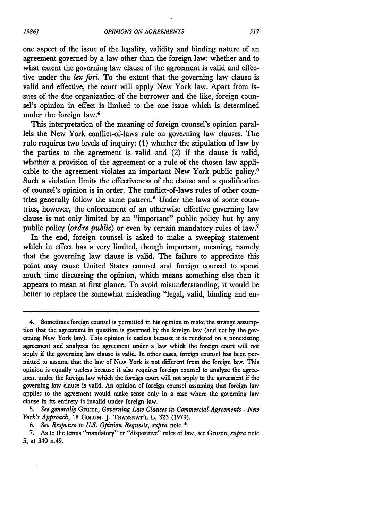one aspect of the issue of the legality, validity and binding nature of an agreement governed **by** a law other than the foreign law: whether and to what extent the governing law clause of the agreement is valid and effective under the *lex fori.* To the extent that the governing law clause is valid and effective, the court will apply New York law. Apart from issues of the due organization of the borrower and the like, foreign counsel's opinion in effect is limited to the one issue which is determined under the foreign law.<sup>4</sup>

This interpretation of the meaning of foreign counsel's opinion parallels the New York conflict-of-laws rule on governing law clauses. The rule requires two levels of inquiry: (1) whether the stipulation of law by the parties to the agreement is valid and (2) if the clause is valid, whether a provision of the agreement or a rule of the chosen law applicable to the agreement violates an important New York public policy.<sup>8</sup> Such a violation limits the effectiveness of the clause and a qualification of counsel's opinion is in order. The conflict-of-laws rules of other countries generally follow the same pattern.<sup>6</sup> Under the laws of some countries, however, the enforcement of an otherwise effective governing law clause is not only limited **by** an "important" public policy but by any public policy *(ordre public)* or even by certain mandatory rules of law.<sup>7</sup>

In the end, foreign counsel is asked to make a sweeping statement which in effect has a very limited, though important, meaning, namely that the governing law clause is valid. The failure to appreciate this point may cause United States counsel and foreign counsel to spend much time discussing the opinion, which means something else than it appears to mean at first glance. To avoid misunderstanding, it would be better to replace the somewhat misleading "legal, valid, binding and en-

*5. See generally* Gruson, *Governing Law Clauses in Commercial Agreements* **-** *New York's Approach,* **18 COLUM. J. TRANSNAT'L** L. **323 (1979).**

*6. See Response to U.S. Opinion Requests, supra* note **\*.**

**7.** As to the terms "mandatory" or "dispositive" rules of law, see Gruson, *supra* note **5,** at 340 n.49.

<sup>4.</sup> Sometimes foreign counsel is permitted in his opinion to make the strange assumption that the agreement in question is governed **by** the foreign law (and not by the governing New York law). This opinion is useless because it is rendered on a nonexisting agreement and analyzes the agreement under a law which the foreign court will not apply if the governing law clause is valid. In other cases, foreign counsel has been permitted to assume that the law of New York is not different from the foreign law. This opinion is equally useless because it also requires foreign counsel to analyze the agreement under the foreign law which the foreign court will not apply to the agreement if the governing law clause is valid. An opinion of foreign counsel assuming that foreign law applies to the agreement would make sense only in a case where the governing law clause in its entirety is invalid under foreign law.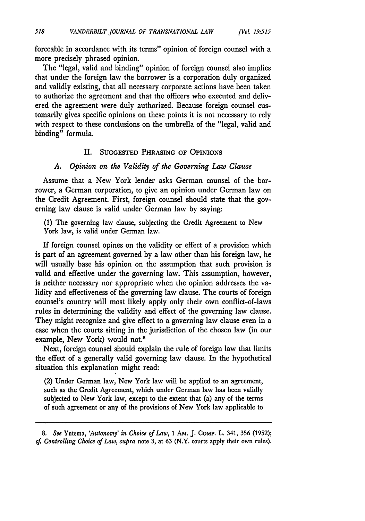forceable in accordance with its terms" opinion of foreign counsel with a more precisely phrased opinion.

The "legal, valid and binding" opinion of foreign counsel also implies that under the foreign law the borrower is a corporation duly organized and validly existing, that all necessary corporate actions have been taken to authorize the agreement and that the officers who executed and delivered the agreement were duly authorized. Because foreign counsel customarily gives specific opinions on these points it is not necessary to rely with respect to these conclusions on the umbrella of the "legal, valid and binding" formula.

### II. **SUGGESTED PHRASING OF OPINIONS**

### *A. Opinion on the Validity of the Governing Law Clause*

Assume that a New York lender asks German counsel of the borrower, a German corporation, to give an opinion under German law on the Credit Agreement. First, foreign counsel should state that the governing law clause is valid under German law by saying:

(1) The governing law clause, subjecting the Credit Agreement to New York law, is valid under German law.

If foreign counsel opines on the validity or effect of a provision which is part of an agreement governed by a law other than his foreign law, he will usually base his opinion on the assumption that such provision is valid and effective under the governing law. This assumption, however, is neither necessary nor appropriate when the opinion addresses the validity and effectiveness of the governing law clause. The courts of foreign counsel's country will most likely apply only their own conflict-of-laws rules in determining the validity and effect of the governing law clause. They might recognize and give effect to a governing law clause even in a case when the courts sitting in the jurisdiction of the chosen law (in our example, New York) would not.8

Next, foreign counsel should explain the rule of foreign law that limits the effect of a generally valid governing law clause. In the hypothetical situation this explanation might read:

(2) Under German law, New York law will be applied to an agreement, such as the Credit Agreement, which under German law has been validly subjected to New York law, except to the extent that (a) any of the terms of such agreement or any of the provisions of New York law applicable to

*8. See* Yntema, *'Autonomy' in Choice of Law,* 1 AM. J. COMP. L. 341, **356 (1952);** *cf Controlling Choice of Law, supra* note 3, at 63 (N.Y. courts apply their own rules).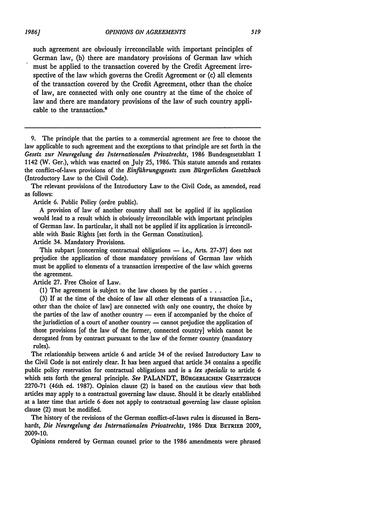such agreement are obviously irreconcilable with important principles of German law, (b) there are mandatory provisions of German law which must be applied to the transaction covered by the Credit Agreement irrespective of the law which governs the Credit Agreement or (c) all elements of the transaction covered by the Credit Agreement, other than the choice of law, are connected with only one country at the time of the choice of law and there are mandatory provisions of the law of such country applicable to the transaction.<sup>9</sup>

**9.** The principle that the parties to a commercial agreement are free to choose the law applicable to such agreement and the exceptions to that principle are set forth in the *Gesetz zur Neuregelung des Internationalen Privatrechts,* 1986 Bundesgesetzblatt I 1142 (W. Ger.), which was enacted on July 25, 1986. This statute amends and restates the conflict-of-laws provisions of the *Einfilhrungsgesetz zum Bfirgerlichen Gesetzbuch* (Introductory Law to the Civil Code).

The relevant provisions of the Introductory Law to the Civil Code, as amended, read as follows:

Article 6. Public Policy (ordre public).

A provision of law of another country shall not be applied if its application would lead to a result which is obviously irreconcilable with important principles of German law. In particular, it shall not be applied if its application is irreconcilable with Basic Rights [set forth in the German Constitution].

Article 34. Mandatory Provisions.

This subpart [concerning contractual obligations  $-$  i.e., Arts. 27-37] does not prejudice the application of those mandatory provisions of German law which must be applied to elements of a transaction irrespective of the law which governs the agreement.

Article 27. Free Choice of Law.

(1) The agreement is subject to the law chosen by the parties...

(3) If at the time of the choice of law all other elements of a transaction [i.e., other than the choice of law] are connected with only one country, the choice by the parties of the law of another country  $-$  even if accompanied by the choice of the jurisdiction of a court of another country - cannot prejudice the application of those provisions [of the law of the former, connected country] which cannot be derogated from by contract pursuant to the law of the former country (mandatory rules).

The relationship between article 6 and article 34 of the revised Introductory Law to the Civil Code is not entirely clear. It has been argued that article 34 contains a specific public policy reservation for contractual obligations and is a *lex specialis* to article 6 which sets forth the general principle. *See* PALANDT, BORGERLICHEN **GESETZBUCH** 2270-71 (46th ed. 1987). Opinion clause (2) is based on the cautious view that both articles may apply to a contractual governing law clause. Should it be clearly established at a later time that article 6 does not apply to contractual governing law clause opinion clause (2) must be modified.

The history of the revisions of the German conflict-of-laws rules is discussed in Bernhardt, *Die Neuregelung des Internationalen Privatrechts,* 1986 DER **BETRIEB 2009,** 2009-10.

Opinions rendered by German counsel prior to the 1986 amendments were phrased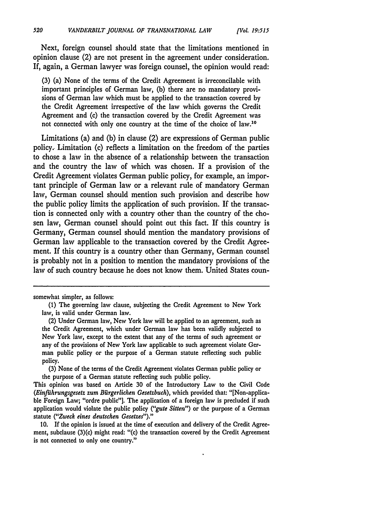Next, foreign counsel should state that the limitations mentioned in opinion clause (2) are not present in the agreement under consideration. If, again, a German lawyer was foreign counsel, the opinion would read:

**(3)** (a) None of the terms of the Credit Agreement is irreconcilable with important principles of German law, **(b)** there are no mandatory provisions of German law which must be applied to the transaction covered **by** the Credit Agreement irrespective of the law which governs the Credit Agreement and (c) the transaction covered **by** the Credit Agreement was not connected with only one country at the time of the choice of law.10

Limitations (a) and **(b)** in clause (2) are expressions of German public policy.. Limitation (c) reflects a limitation on the freedom of the parties to chose a law in the absence of a relationship between the transaction and the country the law of which was chosen. If a provision of the Credit Agreement violates German public policy, for example, an important principle of German law or a relevant rule of mandatory German law, German counsel should mention such provision and describe how the public policy limits the application of such provision. **If** the transaction is connected only with a country other than the country of the chosen law, German counsel should point out this fact. If this country is Germany, German counsel should mention the mandatory provisions of German law applicable to the transaction covered **by** the Credit Agreement. If this country is a country other than Germany, German counsel is probably not in a position to mention the mandatory provisions of the law of such country because he does not know them. United States coun-

**(3)** None of the terms of the Credit Agreement violates German public policy or the purpose of a German statute reflecting such public policy.

This opinion was based on Article **30** of the Introductory Law to the Civil Code *(Einfilhrungsgesetz zum Bfirgerlichen Gesetzbuch),* which provided that: "[Non-applicable Foreign Law; "ordre public"]. The application of a foreign law is precluded if such application would violate the public policy *("gute Sitten")* or the purpose of a German statute *("Zweck eines deutschen Gesetzes")."*

**10. If** the opinion is issued at the time of execution and delivery of the Credit Agreement, subclause (3)(c) might read: "(c) the transaction covered **by** the Credit Agreement is not connected to only one country."

somewhat simpler, as follows:

**<sup>(1)</sup>** The governing law clause, subjecting the Credit Agreement to New York law, is valid under German law.

<sup>(2)</sup> Under German law, New York law will be applied to an agreement, such as the Credit Agreement, which under German law has been validly subjected to New York law, except to the extent that any of the terms of such agreement or any of the provisions of New York law applicable to such agreement violate German public policy or the purpose of a German statute reflecting such public policy.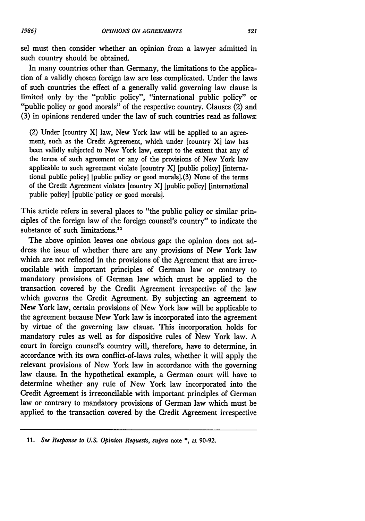sel must then consider whether an opinion from a lawyer admitted in such country should be obtained.

In many countries other than Germany, the limitations to the application of a validly chosen foreign law are less complicated. Under the laws of such countries the effect of a generally valid governing law clause is limited only **by** the "public policy", "international public policy" or "public policy or good morals" of the respective country. Clauses (2) and **(3)** in opinions rendered under the law of such countries read as follows:

(2) Under [country X] law, New York law will be applied to an agreement, such as the Credit Agreement, which under [country **X]** law has been validly subjected to New York law, except to the extent that any of the terms of such agreement or any of the provisions of New York law applicable to such agreement violate [country X] [public policy] [international public policy] [public policy or good morals].(3) None of the terms of the Credit Agreement violates [country X] [public policy] [international public policy] [public'policy or good morals].

This article refers in several places to "the public policy or similar principles of the foreign law of the foreign counsel's country" to indicate the substance of such limitations.<sup>11</sup>

The above opinion leaves one obvious gap: the opinion does not address the issue of whether there are any provisions of New York law which are not reflected in the provisions of the Agreement that are irreconcilable with important principles of German law or contrary to mandatory provisions of German law which must be applied to the transaction covered **by** the Credit Agreement irrespective of the law which governs the Credit Agreement. **By** subjecting an agreement to New York law, certain provisions of New York law will be applicable to the agreement because New York law is incorporated into the agreement **by** virtue of the governing law clause. This incorporation holds for mandatory rules as well as for dispositive rules of New York law. **A** court in foreign counsel's country will, therefore, have to determine, in accordance with its own conflict-of-laws rules, whether it will apply the relevant provisions of New York law in accordance with the governing law clause. In the hypothetical example, a German court will have to determine whether any rule of New York law incorporated into the Credit Agreement is irreconcilable with important principles of German law or contrary to mandatory provisions of German law which must be applied to the transaction covered **by** the Credit Agreement irrespective

**<sup>11.</sup>** *See Response to U.S. Opinion Requests, supra* note **\*,** at **90-92.**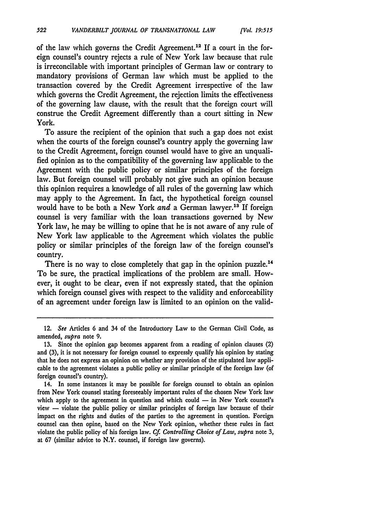522

of the law which governs the Credit Agreement.<sup>12</sup> If a court in the foreign counsel's country rejects a rule of New York law because that rule is irreconcilable with important principles of German law or contrary to mandatory provisions of German law which must be applied to the transaction covered by the Credit Agreement irrespective of the law which governs the Credit Agreement, the rejection limits the effectiveness of the governing law clause, with the result that the foreign court will construe the Credit Agreement differently than a court sitting in New York.

To assure the recipient of the opinion that such a gap does not exist when the courts of the foreign counsel's country apply the governing law to the Credit Agreement, foreign counsel would have to give an unqualified opinion as to the compatibility of the governing law applicable to the Agreement with the public policy or similar principles of the foreign law. But foreign counsel will probably not give such an opinion because this opinion requires a knowledge of all rules of the governing law which may apply to the Agreement. In fact, the hypothetical foreign counsel would have to be both a New York and a German lawyer.<sup>13</sup> If foreign counsel is very familiar with the loan transactions governed by New York law, he may be willing to opine that he is not aware of any rule of New York law applicable to the Agreement which violates the public policy or similar principles of the foreign law of the foreign counsel's country.

There is no way to close completely that gap in the opinion puzzle.<sup>14</sup> To be sure, the practical implications of the problem are small. However, it ought to be clear, even if not expressly stated, that the opinion which foreign counsel gives with respect to the validity and enforceability of an agreement under foreign law is limited to an opinion on the valid-

<sup>12.</sup> *See* Articles **6** and 34 of the Introductory Law to the German Civil Code, as amended, *supra* note 9.

<sup>13.</sup> Since the opinion gap becomes apparent from a reading of opinion clauses (2) and (3), it is not necessary for foreign counsel to expressly qualify his opinion by stating that he does not express an opinion on whether any provision of the stipulated law applicable to the agreement violates a public policy or similar principle of the foreign law (of foreign counsel's country).

<sup>14.</sup> In some instances it may be possible for foreign counsel to obtain an opinion from New York counsel stating foreseeably important rules of the chosen New York law which apply to the agreement in question and which could  $-$  in New York counsel's  $view -$  violate the public policy or similar principles of foreign law because of their impact on the rights and duties of the parties to the agreement in question. Foreign counsel can then opine, based on the New York opinion, whether these rules in fact violate the public policy of his foreign law. *Cf Controlling Choice of Law, supra* note 3, at 67 (similar advice to N.Y. counsel, if foreign law governs).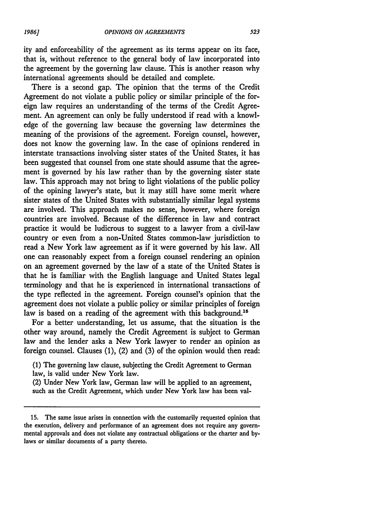ity and enforceability of the agreement as its terms appear on its face, that is, without reference to the general body of law incorporated into the agreement by the governing law clause. This is another reason why international agreements should be detailed and complete.

There is a second gap. The opinion that the terms of the Credit Agreement do not violate a public policy or similar principle of the foreign law requires an understanding of the terms of the Credit Agreement. An agreement can only be fully understood if read with a knowledge of the governing law because the governing law determines the meaning of the provisions of the agreement. Foreign counsel, however, does not know the governing law. In the case of opinions rendered in interstate transactions involving sister states of the United States, it has been suggested that counsel from one state should assume that the agreement is governed by his law rather than by the governing sister state law. This approach may not bring to light violations of the public policy of the opining lawyer's state, but it may still have some merit where sister states of the United States with substantially similar legal systems are involved. This approach makes no sense, however, where foreign countries are involved. Because of the difference in law and contract practice it would be ludicrous to suggest to a lawyer from a civil-law country or even from a non-United States common-law jurisdiction to read a New York law agreement as if it were governed by his law. All one can reasonably expect from a foreign counsel rendering an opinion on an agreement governed by the law of a state of the United States is that he is familiar with the English language and United States legal terminology and that he is experienced in international transactions of the type reflected in the agreement. Foreign counsel's opinion that the agreement does not violate a public policy or similar principles of foreign law is based on a reading of the agreement with this background.<sup>11</sup>

For a better understanding, let us assume, that the situation is the other way around, namely the Credit Agreement is subject to German law and the lender asks a New York lawyer to render an opinion as foreign counsel. Clauses (1), (2) and (3) of the opinion would then read:

(1) The governing law clause, subjecting the Credit Agreement to German law, is valid under New York law.

(2) Under New York law, German law will be applied to an agreement, such as the Credit Agreement, which under New York law has been val-

**<sup>15.</sup>** The same issue arises in connection with the customarily requested opinion that the execution, delivery and performance of an agreement does not require any governmental approvals and does not violate any contractual obligations or the charter and bylaws or similar documents of a party thereto.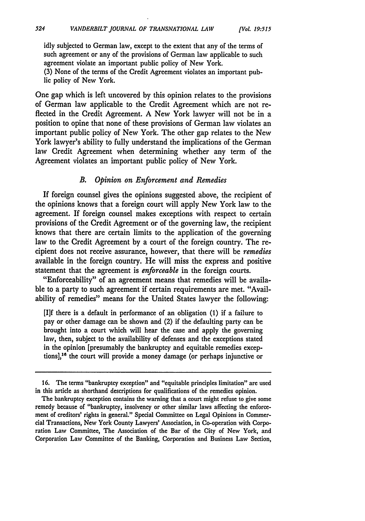idly subjected to German law, except to the extent that any of the terms of such agreement or any of the provisions of German law applicable to such agreement violate an important public policy of New York.

*[Vol 19.515*

(3) None of the terms of the Credit Agreement violates an important public policy of New York.

One gap which is left uncovered **by** this opinion relates to the provisions of German law applicable to the Credit Agreement which are not reflected in the Credit Agreement. **A** New York lawyer will not be in a position to opine that none of these provisions of German law violates an important public policy of New York. The other gap relates to the New York lawyer's ability to fully understand the implications of the German law Credit Agreement when determining whether any term of the Agreement violates an important public policy of New York.

## *B. Opinion on Enforcement and Remedies*

**If** foreign counsel gives the opinions suggested above, the recipient of the opinions knows that a foreign court will apply New York law to the agreement. If foreign counsel makes exceptions with respect to certain provisions of the Credit Agreement or of the governing law, the recipient knows that there are certain limits to the application of the governing law to the Credit Agreement **by** a court of the foreign country. The recipient does not receive assurance, however, that there will be *remedies* available in the foreign country. He will miss the express and positive statement that the agreement is *enforceable* in the foreign courts.

"Enforceability" of an agreement means that remedies will be available to a party to such agreement if certain requirements are met. "Availability of remedies" means for the United States lawyer the following:

**[1]f** there is a default in performance of an obligation **(1)** if a failure to pay or other damage can be shown and (2) if the defaulting party can **be** brought into a court which will hear the case and apply the governing law, then, subject to the availability of defenses and the exceptions stated in the opinion [presumably the bankruptcy and equitable remedies exceptions],<sup>16</sup> the court will provide a money damage (or perhaps injunctive or

**<sup>16.</sup>** The terms "bankruptcy exception" and "equitable principles limitation" are used in this article as shorthand descriptions for qualifications of the remedies opinion.

The bankruptcy exception contains the warning that a court might refuse to give some remedy because of "bankruptcy, insolvency or other similar laws affecting the enforcement of creditors' rights in general." Special Committee on Legal Opinions in Commercial Transactions, New York County Lawyers' Association, in Co-operation with Corporation Law Committee, The Association of the Bar of the City of New York, and Corporation Law Committee of the Banking, Corporation and Business Law Section,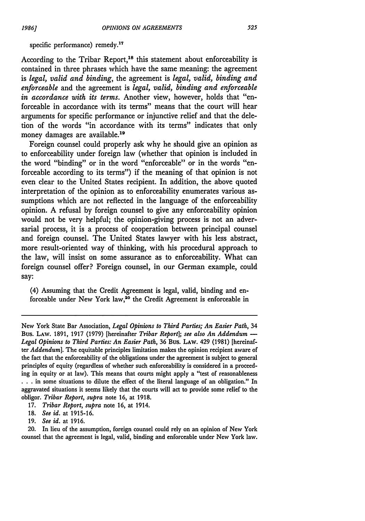#### specific performance) remedy.<sup>17</sup>

According to the Tribar Report,<sup>18</sup> this statement about enforceability is contained in three phrases which have the same meaning: the agreement is *legal, valid and binding,* the agreement is *legal, valid, binding and enforceable* and the agreement is *legal, valid, binding and enforceable in accordance with its terms.* Another view, however, holds that "enforceable in accordance with its terms" means that the court will hear arguments for specific performance or injunctive relief and that the deletion of the words "in accordance with its terms" indicates that only money damages are available.<sup>19</sup>

Foreign counsel could properly ask why he should give an opinion as to enforceability under foreign law (whether that opinion is included in the word "binding" or in the word "enforceable" or in the words "enforceable according to its terms") if the meaning of that opinion is not even clear to the United States recipient. In addition, the above quoted interpretation of the opinion as to enforceability enumerates various assumptions which are not reflected in the language of the enforceability opinion. A refusal by foreign counsel to give any enforceability opinion would not be very helpful; the opinion-giving process is not an adversarial process, it is a process of cooperation between principal counsel and foreign counsel. The United States lawyer with his less abstract, more result-oriented way of thinking, with his procedural approach to the law, will insist on some assurance as to enforceability. What can foreign counsel offer? Foreign counsel, in our German example, could say:

(4) Assuming that the Credit Agreement is legal, valid, binding and enforceable under New York law,20 the Credit Agreement is enforceable in

19. *See id.* at 1916.

New York State Bar Association, *Legal Opinions to Third Parties; An Easier Path,* 34 Bus. LAW. 1891, 1917 (1979) [hereinafter *Tribar Report]; see also An Addendum* **-** *Legal Opinions to Third Parties: An Easier Path,* 36 Bus. LAw. 429 (1981) [hereinafter *Addendum].* The equitable principles limitation makes the opinion recipient aware of the fact that the enforceability of the obligations under the agreement is subject to general principles of equity (regardless of whether such enforceability is considered in a proceeding in equity or at law). This means that courts might apply a "test of reasonableness **...** in some situations to dilute the effect of the literal language of an obligation." In aggravated situations it seems likely that the courts will act to provide some relief to the obligor. *Tribar Report, supra* note 16, at 1918.

<sup>17.</sup> *Tribar Report, supra* note 16, at 1914.

<sup>18.</sup> *See id.* at 1915-16.

<sup>20.</sup> In lieu of the assumption, foreign counsel could rely on an opinion of New York counsel that the agreement is legal, valid, binding and enforceable under New York law.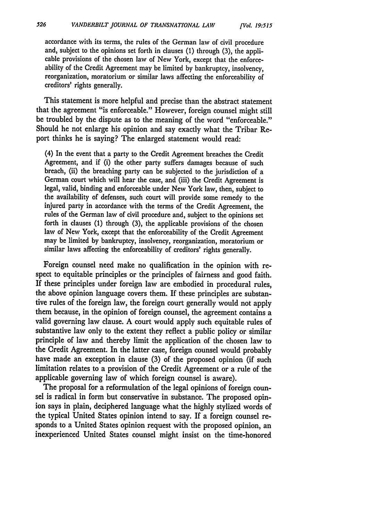accordance with its terms, the rules of the German law of civil procedure and, subject to the opinions set forth in clauses (1) through (3), the applicable provisions of the chosen law of New York, except that the enforceability of the Credit Agreement may be limited by bankruptcy, insolvency, reorganization, moratorium or similar laws affecting the enforceability of creditors' rights generally.

This statement is more helpful and precise than the abstract statement that the agreement "is enforceable." However, foreign counsel might still be troubled by the dispute as to the meaning of the word "enforceable." Should he not enlarge his opinion and say exactly what the Tribar Report thinks he is saying? The enlarged statement would read:

(4) In the event that a party to the Credit Agreement breaches the Credit Agreement, and if (i) the other party suffers damages because of such breach, (ii) the breaching party can be subjected to the jurisdiction of a German court which will hear the case, and (iii) the Credit Agreement is legal, valid, binding and enforceable under New York law, then, subject to the availability of defenses, such court will provide some remedy to the injured party in accordance with the terms of the Credit Agreement, the rules of the German law of civil procedure and, subject to the opinions set forth in clauses (1) through (3), the applicable provisions of the chosen law of New York, except that the enforceability of the Credit Agreement may be limited by bankruptcy, insolvency, reorganization, moratorium or similar laws affecting the enforceability of creditors' rights generally.

Foreign counsel need make no qualification in the opinion with respect to equitable principles or the principles of fairness and good faith. If these principles under foreign law are embodied in procedural rules, the above opinion language covers them. If these principles are substantive rules of the foreign law, the foreign court generally would not apply them because, in the opinion of foreign counsel, the agreement contains a valid governing law clause. A court would apply such equitable rules of substantive law only to the extent they reflect a public policy or similar principle of law and thereby limit the application of the chosen law to the Credit Agreement. In the latter case, foreign counsel would probably have made an exception in clause (3) of the proposed opinion (if such limitation relates to a provision of the Credit Agreement or a rule of the applicable governing law of which foreign counsel is aware).

The proposal for a reformulation of the legal opinions of foreign counsel is radical in form but conservative in substance. The proposed opinion says in plain, deciphered language what the highly stylized words of the typical United States opinion intend to say. If a foreign counsel responds to a United States opinion request with the proposed opinion, an inexperienced United States counsel might insist on the time-honored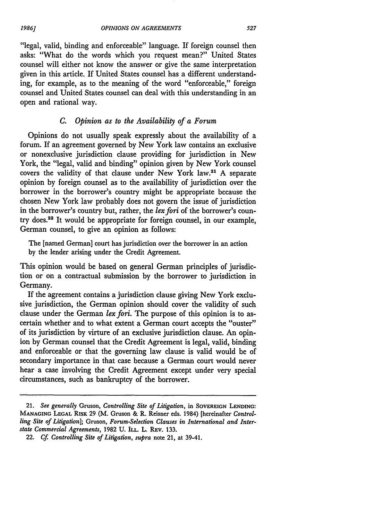"legal, valid, binding and enforceable" language. If foreign counsel then asks: "What do the words which you request mean?" United States counsel will either not know the answer or give the same interpretation given in this article. If United States counsel has a different understanding, for example, as to the meaning of the word "enforceable," foreign counsel and United States counsel can deal with this understanding in an open and rational way.

## *C. Opinion as to the Availability of a Forum*

Opinions do not usually speak expressly about the availability of a forum. If an agreement governed by New York law contains an exclusive or nonexclusive jurisdiction clause providing for jurisdiction in New York, the "legal, valid and binding" opinion given by New York counsel covers the validity of that clause under New York law.<sup>21</sup> A separate opinion by foreign counsel as to the availability of jurisdiction over the borrower in the borrower's country might be appropriate because the chosen New York law probably does not govern the issue of jurisdiction in the borrower's country but, rather, the *lex fori* of the borrower's country does.<sup>22</sup> It would be appropriate for foreign counsel, in our example, German counsel, to give an opinion as follows:

The [named German] court has jurisdiction over the borrower in an action by the lender arising under the Credit Agreement.

This opinion would be based on general German principles of jurisdiction or on a contractual submission by the borrower to jurisdiction in Germany.

If the agreement contains a jurisdiction clause giving New York exclusive jurisdiction, the German opinion should cover the validity of such clause under the German *lex fori.* The purpose of this opinion is to ascertain whether and to what extent a German court accepts the "ouster" of its jurisdiction by virture of an exclusive jurisdiction clause. An opinion by German counsel that the Credit Agreement is legal, valid, binding and enforceable or that the governing law clause is valid would be of secondary importance in that case because a German court would never hear a case involving the Credit Agreement except under very special circumstances, such as bankruptcy of the borrower.

*1986.1*

<sup>21.</sup> *See generally* Gruson, *Controlling Site of Litigation,* in **SOVEREIGN LENDING: MANAGING LEGAL** RISK 29 (M. Gruson & R. Reisner eds. 1984) [hereinafter *Controlling Site of Litigation];* Gruson, *Forum-Selection Clauses in International and Interstate Commercial Agreements,* 1982 U. **ILL.** L. REv. 133.

<sup>22.</sup> *Cf Controlling Site of Litigation, supra* note 21, at 39-41.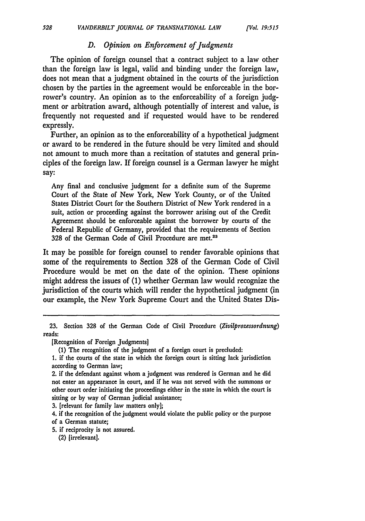## *D. Opinion on Enforcement of Judgments*

The opinion of foreign counsel that a contract subject to a law other than the foreign law is legal, valid and binding under the foreign law, does not mean that a judgment obtained in the courts of the jurisdiction chosen by the parties in the agreement would be enforceable in the borrower's country. An opinion as to the enforceability of a foreign judgment or arbitration award, although potentially of interest and value, is frequently not requested and if requested would have to be rendered expressly.

Further, an opinion as to the enforceability of a hypothetical judgment or award to be rendered in the future should be very limited and should not amount to much more than a recitation of statutes and general principles of the foreign law. If foreign counsel is a German lawyer he might say:

Any final and conclusive judgment for a definite sum of the Supreme Court of the State of New York, New York County, or of the United States District Court for the Southern District of New York rendered in a suit, action or proceeding against the borrower arising out of the Credit Agreement should be enforceable against the borrower by courts of the Federal Republic of Germany, provided that the requirements of Section 328 of the German Code of Civil Procedure are met.<sup>23</sup>

It may be possible for foreign counsel to render favorable opinions that some of the requirements to Section 328 of the German Code of Civil Procedure would be met on the date of the opinion. These opinions might address the issues of (1) whether German law would recognize the jurisdiction of the courts which will render the hypothetical judgment (in our example, the New York Supreme Court and the United States Dis-

**3.** [relevant for family law matters only];

4. if the recognition of the judgment would violate the public policy or the purpose of a German statute;

**5.** if reciprocity is not assured.

**<sup>23.</sup>** Section 328 of the German Code of Civil Procedure *(Zivilprozessordnung)* reads:

<sup>[</sup>Recognition of Foreign Judgments]

**<sup>(1)</sup>** The recognition of the judgment of a foreign court is precluded:

**<sup>1.</sup>** if the courts of the state in which the foreign court is sitting lack jurisdiction according to German law;

<sup>2.</sup> if the defendant against whom a judgment was rendered is German and he did not enter an appearance in court, and if he was not served with the summons or other court order initiating the proceedings either in the state in which the court is sitting or by way of German judicial assistance;

<sup>(2) [</sup>irrelevant].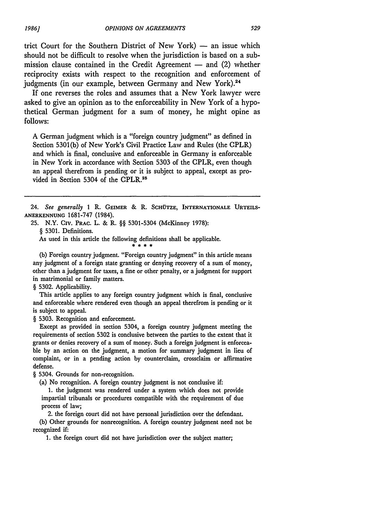trict Court for the Southern District of New York)  $-$  an issue which should not be difficult to resolve when the jurisdiction is based on a submission clause contained in the Credit Agreement  $-$  and (2) whether reciprocity exists with respect to the recognition and enforcement of judgments (in our example, between Germany and New York).<sup>24</sup>

If one reverses the roles and assumes that a New York lawyer were asked to give an opinion as to the enforceability in New York of a hypothetical German judgment for a sum of money, he might opine as follows:

**A** German judgment which is a "foreign country judgment" as defined in Section 5301(b) of New York's Civil Practice Law and Rules (the CPLR) and which is final, conclusive and enforceable in Germany is enforceable in New York in accordance with Section 5303 of the CPLR, even though an appeal therefrom is pending or it is subject to appeal, except as provided in Section 5304 of the CPLR.25

25. N.Y. CIV. **PRAC.** L. & R. §§ 5301-5304 (McKinney 1978):

§ **5301.** Definitions.

As used in this article the following definitions shall be applicable.

(b) Foreign country judgment. "Foreign country judgment" in this article means any judgment of a foreign state granting or denying recovery of a sum of money, other than a judgment for taxes, a fine or other penalty, or a judgment for support in matrimonial or family matters.

§ 5302. Applicability.

This article applies to any foreign country judgment which is final, conclusive and enforceable where rendered even though an appeal therefrom is pending or it is subject to appeal.

§ **5303.** Recognition and enforcement.

Except as provided in section 5304, a foreign country judgment meeting the requirements of section 5302 is conclusive between the parties to the extent that it grants or denies recovery of a sum of money. Such a foreign judgment is enforceable by an action on the judgment, a motion for summary judgment in lieu of complaint, or in a pending action by counterclaim, crossclaim or affirmative defense.

§ 5304. Grounds for non-recognition.

(a) No recognition. A foreign country judgment is not conclusive if:

**1.** the judgment was rendered under a system which does not provide impartial tribunals or procedures compatible with the requirement of due process of law;

2. the foreign court did not have personal jurisdiction over the defendant. (b) Other grounds for nonrecognition. A foreign country judgment need not be recognized if:

**1.** the foreign court did not have jurisdiction over the subject matter;

<sup>24.</sup> *See generally 1* R. **GEIMER** *&* R. **SCHOTZE, INTERNATIONALE URTEILS-ANERKENNUNG** 1681-747 (1984).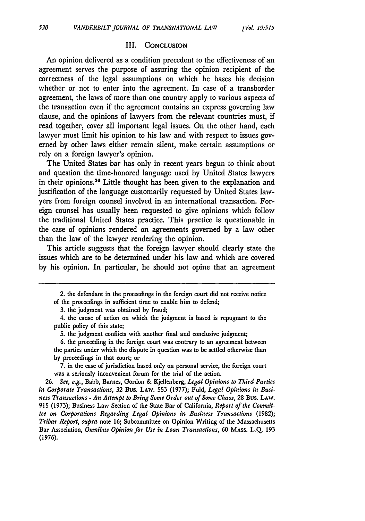#### III. **CONCLUSION**

An opinion delivered as a condition precedent to the effectiveness of an agreement serves the purpose of assuring the opinion recipient of the correctness of the legal assumptions on which he bases his decision whether or not to enter into the agreement. In case of a transborder agreement, the laws of more than one country apply to various aspects of the transaction even if the agreement contains an express governing law clause, and the opinions of lawyers from the relevant countries must, if read together, cover all important legal issues. On the other hand, each lawyer must limit his opinion to his law and with respect to issues governed by other laws either remain silent, make certain assumptions or rely on a foreign lawyer's opinion.

The United States bar has only in recent years begun to think about and question the time-honored language used by United States lawyers in their opinions.<sup>26</sup> Little thought has been given to the explanation and justification of the language customarily requested by United States lawyers from foreign counsel involved in an international transaction. Foreign counsel has usually been requested to give opinions which follow the traditional United States practice. This practice is questionable in the case of opinions rendered on agreements governed by a law other than the law of the lawyer rendering the opinion.

This article suggests that the foreign lawyer should clearly state the issues which are to **be** determined under his law and which are covered by his opinion. In particular, he should not opine that an agreement

3. the judgment was obtained by fraud;

7. in the case of jurisdiction based only on personal service, the foreign court was a seriously inconvenient forum for the trial of the action.

**<sup>2.</sup>** the defendant in the proceedings in the foreign court did not receive notice of the proceedings in sufficient time to enable him to defend;

<sup>4.</sup> the cause of action on which the judgment is based is repugnant to the public policy of this state;

<sup>5.</sup> the judgment conflicts with another final and conclusive judgment;

<sup>6.</sup> the proceeding in the foreign court was contrary to an agreement between the parties under which the dispute in question was to be settled otherwise than by proceedings in that court; or

**<sup>26.</sup>** *See, e.g.,* Babb, Barnes, Gordon & Kjellenberg, *Legal Opinions to Third Parties in Corporate Transactions,* **32** Bus. LAw. 553 (1977); Fuld, *Legal Opinions in Business Transactions* - *An Attempt to Bring Some Order out of Some Chaos,* 28 Bus. LAW. 915 (1973); Business Law Section of the State Bar of California, *Report of the Committee on Corporations Regarding Legal Opinions in Business Transactions* (1982); *Tribar Report, supra* note 16; Subcommittee on Opinion Writing of the Massachusetts Bar Association, *Omnibus Opinion for Use in Loan Transactions,* 60 MAss. L.Q. 193 (1976).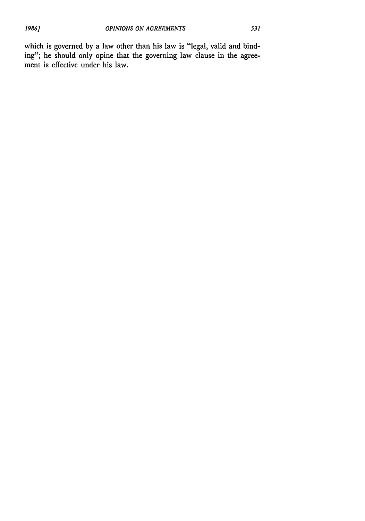which is governed by a law other than his law is "legal, valid and binding"; he should only opine that the governing law clause in the agreement is effective under his law.